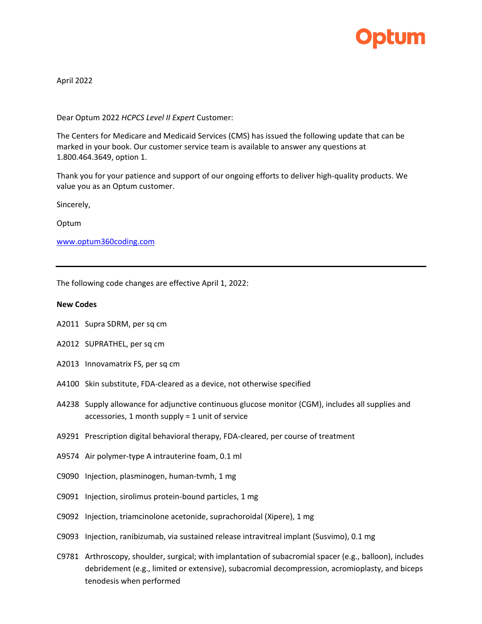

April 2022

Dear Optum 2022 *HCPCS Level II Expert* Customer:

The Centers for Medicare and Medicaid Services (CMS) has issued the following update that can be marked in your book. Our customer service team is available to answer any questions at 1.800.464.3649, option 1.

Thank you for your patience and support of our ongoing efforts to deliver high-quality products. We value you as an Optum customer.

Sincerely,

Optum

[www.optum360coding.com](http://www.optum360coding.com/)

The following code changes are effective April 1, 2022:

## **New Codes**

- A2011 Supra SDRM, per sq cm
- A2012 SUPRATHEL, per sq cm
- A2013 Innovamatrix FS, per sq cm
- A4100 Skin substitute, FDA-cleared as a device, not otherwise specified
- A4238 Supply allowance for adjunctive continuous glucose monitor (CGM), includes all supplies and accessories, 1 month supply = 1 unit of service
- A9291 Prescription digital behavioral therapy, FDA-cleared, per course of treatment
- A9574 Air polymer-type A intrauterine foam, 0.1 ml
- C9090 Injection, plasminogen, human-tvmh, 1 mg
- C9091 Injection, sirolimus protein-bound particles, 1 mg
- C9092 Injection, triamcinolone acetonide, suprachoroidal (Xipere), 1 mg
- C9093 Injection, ranibizumab, via sustained release intravitreal implant (Susvimo), 0.1 mg
- C9781 Arthroscopy, shoulder, surgical; with implantation of subacromial spacer (e.g., balloon), includes debridement (e.g., limited or extensive), subacromial decompression, acromioplasty, and biceps tenodesis when performed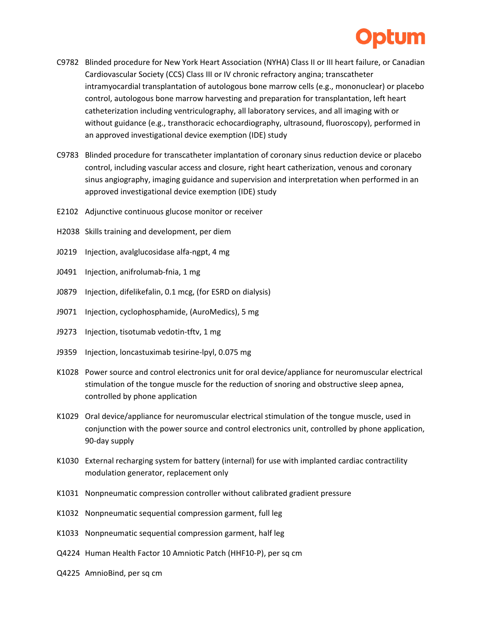

- C9782 Blinded procedure for New York Heart Association (NYHA) Class II or III heart failure, or Canadian Cardiovascular Society (CCS) Class III or IV chronic refractory angina; transcatheter intramyocardial transplantation of autologous bone marrow cells (e.g., mononuclear) or placebo control, autologous bone marrow harvesting and preparation for transplantation, left heart catheterization including ventriculography, all laboratory services, and all imaging with or without guidance (e.g., transthoracic echocardiography, ultrasound, fluoroscopy), performed in an approved investigational device exemption (IDE) study
- C9783 Blinded procedure for transcatheter implantation of coronary sinus reduction device or placebo control, including vascular access and closure, right heart catherization, venous and coronary sinus angiography, imaging guidance and supervision and interpretation when performed in an approved investigational device exemption (IDE) study
- E2102 Adjunctive continuous glucose monitor or receiver
- H2038 Skills training and development, per diem
- J0219 Injection, avalglucosidase alfa-ngpt, 4 mg
- J0491 Injection, anifrolumab-fnia, 1 mg
- J0879 Injection, difelikefalin, 0.1 mcg, (for ESRD on dialysis)
- J9071 Injection, cyclophosphamide, (AuroMedics), 5 mg
- J9273 Injection, tisotumab vedotin-tftv, 1 mg
- J9359 Injection, loncastuximab tesirine-lpyl, 0.075 mg
- K1028 Power source and control electronics unit for oral device/appliance for neuromuscular electrical stimulation of the tongue muscle for the reduction of snoring and obstructive sleep apnea, controlled by phone application
- K1029 Oral device/appliance for neuromuscular electrical stimulation of the tongue muscle, used in conjunction with the power source and control electronics unit, controlled by phone application, 90-day supply
- K1030 External recharging system for battery (internal) for use with implanted cardiac contractility modulation generator, replacement only
- K1031 Nonpneumatic compression controller without calibrated gradient pressure
- K1032 Nonpneumatic sequential compression garment, full leg
- K1033 Nonpneumatic sequential compression garment, half leg
- Q4224 Human Health Factor 10 Amniotic Patch (HHF10-P), per sq cm
- Q4225 AmnioBind, per sq cm